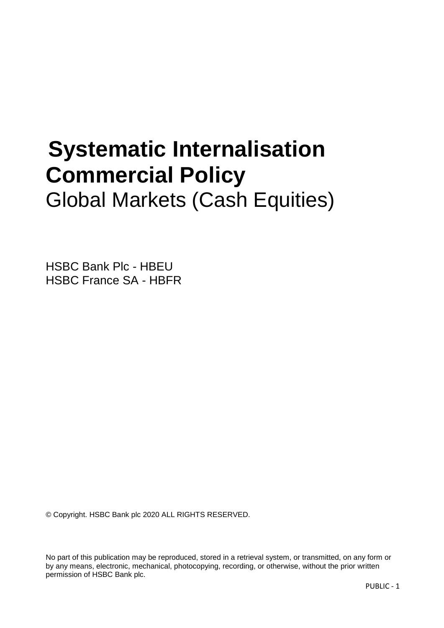# **Systematic Internalisation Commercial Policy**  Global Markets (Cash Equities)

HSBC Bank Plc - HBEU HSBC France SA - HBFR

© Copyright. HSBC Bank plc 2020 ALL RIGHTS RESERVED.

No part of this publication may be reproduced, stored in a retrieval system, or transmitted, on any form or by any means, electronic, mechanical, photocopying, recording, or otherwise, without the prior written permission of HSBC Bank plc.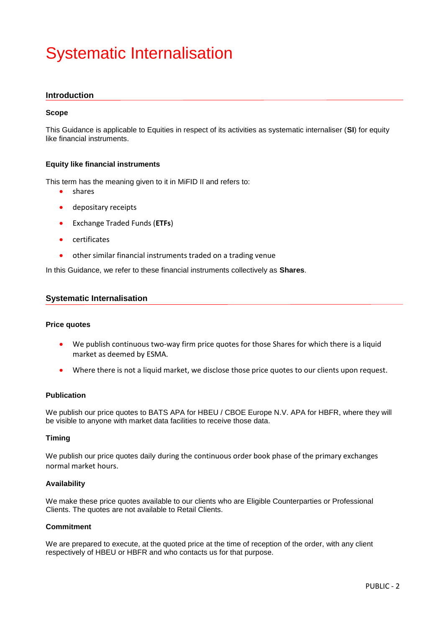# Systematic Internalisation

# **Introduction**

#### **Scope**

This Guidance is applicable to Equities in respect of its activities as systematic internaliser (**SI**) for equity like financial instruments.

# **Equity like financial instruments**

This term has the meaning given to it in MiFID II and refers to:

- shares
- depositary receipts
- Exchange Traded Funds (**ETFs**)
- **•** certificates
- other similar financial instruments traded on a trading venue

In this Guidance, we refer to these financial instruments collectively as **Shares**.

# **Systematic Internalisation**

#### **Price quotes**

- We publish continuous two-way firm price quotes for those Shares for which there is a liquid market as deemed by ESMA.
- Where there is not a liquid market, we disclose those price quotes to our clients upon request.

#### **Publication**

We publish our price quotes to BATS APA for HBEU / CBOE Europe N.V. APA for HBFR, where they will be visible to anyone with market data facilities to receive those data.

#### **Timing**

We publish our price quotes daily during the continuous order book phase of the primary exchanges normal market hours.

#### **Availability**

We make these price quotes available to our clients who are Eligible Counterparties or Professional Clients. The quotes are not available to Retail Clients.

# **Commitment**

We are prepared to execute, at the quoted price at the time of reception of the order, with any client respectively of HBEU or HBFR and who contacts us for that purpose.